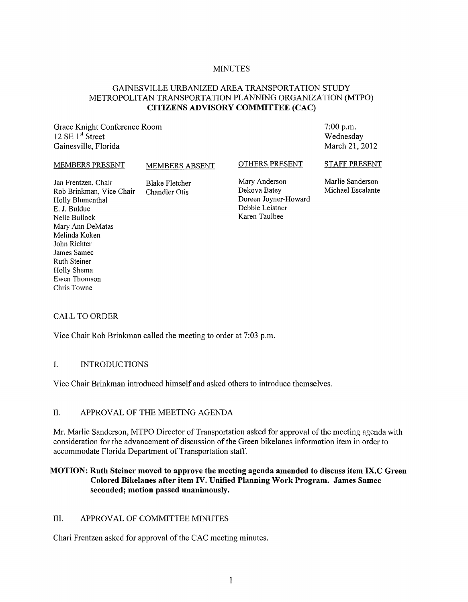#### **MINUTES**

## GAINESVILLE URBANIZED AREA TRANSPORTATION STUDY METROPOLITAN TRANSPORTATION PLANNING ORGANIZATION (MTPO) **CITIZENS ADVISORY COMMITTEE (CAC)**

Grace Knight Conference Room 12 SE  $1<sup>st</sup>$  Street Gainesville, Florida

7:00 p.m. Wednesday March 21, 2012

#### MEMBERS PRESENT MEMBERS ABSENT

#### OTHERS PRESENT

Jan Frentzen, Chair<br>Rob Brinkman, Vice Chair Chandler Otis Rob Brinkman, Vice Chair Holly Blumenthal E. J. Bulduc Nelle Bullock Mary Ann DeMatas Melinda Koken John Richter James Samec Ruth Steiner Holly Shema Ewen Thomson

Mary Anderson Dekova Batey Doreen Joyner-Howard Debbie Leistner Karen Taulbee

STAFF PRESENT Marlie Sanderson

Michael Escalante

#### CALL TO ORDER

Chris Towne

Vice Chair Rob Brinkman called the meeting to order at 7:03 p.m.

#### I. INTRODUCTIONS

Vice Chair Brinkman introduced himself and asked others to introduce themselves.

#### II. APPROVAL OF THE MEETING AGENDA

Mr. Martie Sanderson, MTPO Director of Transportation asked for approval of the meeting agenda with consideration for the advancement of discussion of the Green bikelanes information item in order to accommodate Florida Department of Transportation staff.

## **MOTION: Ruth Steiner moved to approve the meeting agenda amended to discuss item IX.C Green Colored Bikelanes after item IV. Unified Planning Work Program. James Samec seconded; motion passed unanimously.**

### III. APPROVAL OF COMMITTEE MINUTES

Chari Frentzen asked for approval of the CAC meeting minutes.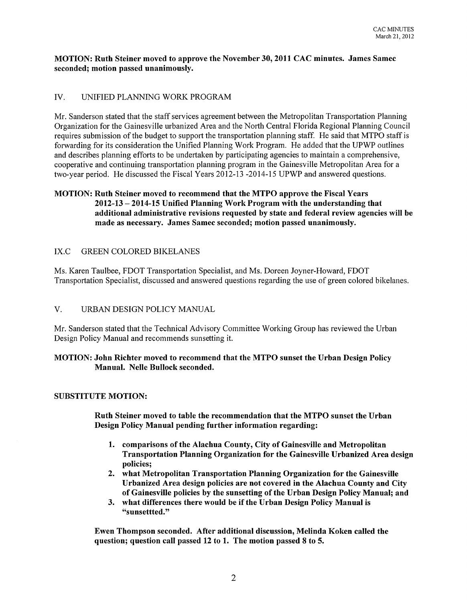#### MOTION: Ruth Steiner moved to approve the November 30, 2011 CAC minutes. James Samec seconded; motion passed unanimously.

## IV. UNIFIED PLANNING WORK PROGRAM

Mr. Sanderson stated that the staff services agreement between the Metropolitan Transportation Planning Organization for the Gainesville urbanized Area and the North Central Florida Regional Planning Council requires submission of the budget to support the transportation planning staff. He said that MTPO staff is forwarding for its consideration the Unified Planning Work Program. He added that the UPWP outlines and describes planning efforts to be undertaken by participating agencies to maintain a comprehensive, cooperative and continuing transportation planning program in the Gainesville Metropolitan Area for a two-year period. He discussed the Fiscal Years 2012-13 -2014-15 UPWP and answered questions.

## MOTION: Ruth Steiner moved to recommend that the MTPO approve the Fiscal Years 2012-13 - 2014-15 Unified Planning Work Program with the understanding that additional administrative revisions requested by state and federal review agencies will be made as necessary. James Samec seconded; motion passed unanimously.

## IX.C GREEN COLORED BIKELANES

Ms. Karen Taulbee, FDOT Transportation Specialist, and Ms. Doreen Joyner-Howard, FDOT Transportation Specialist, discussed and answered questions regarding the use of green colored bikelanes.

### V. URBAN DESIGN POLICY MANUAL

Mr. Sanderson stated that the Technical Advisory Committee Working Group has reviewed the Urban Design Policy Manual and recommends sunsetting it.

### MOTION: John Richter moved to recommend that the MTPO sunset the Urban Design Policy Manual. Nelle Bullock seconded.

### SUBSTITUTE MOTION:

Ruth Steiner moved to table the recommendation that the MTPO sunset the Urban Design Policy Manual pending further information regarding:

- 1. comparisons of the Alachua County, City of Gainesville and Metropolitan Transportation Planning Organization for the Gainesville Urbanized Area design policies;
- 2. what Metropolitan Transportation Planning Organization for the Gainesville Urbanized Area design policies are not covered in the Alachua County and City of Gainesville policies by the sunsetting of the Urban Design Policy Manual; and
- 3. what differences there would be if the Urban Design Policy Manual is "sunsettted."

Ewen Thompson seconded. After additional discussion, Melinda Koken called the question; question call passed 12 to 1. The motion passed 8 to 5.